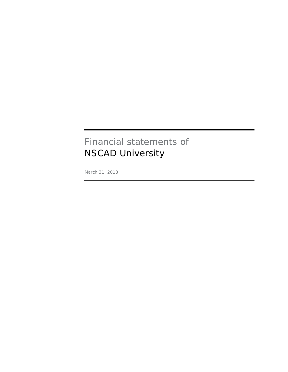# Financial statements of NSCAD University

March 31, 2018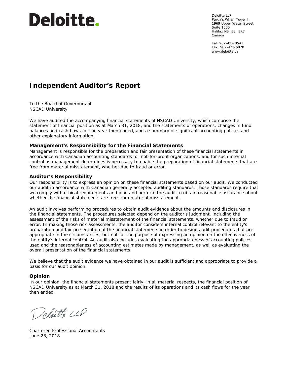# Deloitte.

Deloitte LLP Purdy's Wharf Tower II 1969 Upper Water Street Suite 1500 Halifax NS B3J 3R7 Canada

Tel: 902-422-8541 Fax: 902-423-5820 www.deloitte.ca

# **Independent Auditor's Report**

To the Board of Governors of NSCAD University

We have audited the accompanying financial statements of NSCAD University, which comprise the statement of financial position as at March 31, 2018, and the statements of operations, changes in fund balances and cash flows for the year then ended, and a summary of significant accounting policies and other explanatory information.

# **Management's Responsibility for the Financial Statements**

Management is responsible for the preparation and fair presentation of these financial statements in accordance with Canadian accounting standards for not-for-profit organizations, and for such internal control as management determines is necessary to enable the preparation of financial statements that are free from material misstatement, whether due to fraud or error.

# **Auditor's Responsibility**

Our responsibility is to express an opinion on these financial statements based on our audit. We conducted our audit in accordance with Canadian generally accepted auditing standards. Those standards require that we comply with ethical requirements and plan and perform the audit to obtain reasonable assurance about whether the financial statements are free from material misstatement.

An audit involves performing procedures to obtain audit evidence about the amounts and disclosures in the financial statements. The procedures selected depend on the auditor's judgment, including the assessment of the risks of material misstatement of the financial statements, whether due to fraud or error. In making those risk assessments, the auditor considers internal control relevant to the entity's preparation and fair presentation of the financial statements in order to design audit procedures that are appropriate in the circumstances, but not for the purpose of expressing an opinion on the effectiveness of the entity's internal control. An audit also includes evaluating the appropriateness of accounting policies used and the reasonableness of accounting estimates made by management, as well as evaluating the overall presentation of the financial statements.

We believe that the audit evidence we have obtained in our audit is sufficient and appropriate to provide a basis for our audit opinion.

# **Opinion**

In our opinion, the financial statements present fairly, in all material respects, the financial position of NSCAD University as at March 31, 2018 and the results of its operations and its cash flows for the year then ended.

Delaitte LLP

Chartered Professional Accountants June 28, 2018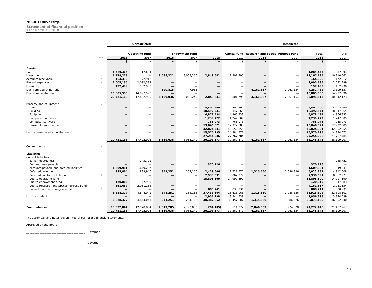**Statement of financial position** As at March 31, 2018

|                                          |                | <b>Unrestricted</b>      |                                  |                          |                          | <b>Restricted</b>        |                          |                          |                                                |              |            |
|------------------------------------------|----------------|--------------------------|----------------------------------|--------------------------|--------------------------|--------------------------|--------------------------|--------------------------|------------------------------------------------|--------------|------------|
|                                          |                |                          |                                  |                          |                          |                          |                          |                          |                                                |              |            |
|                                          |                |                          | Operating fund                   |                          | <b>Endowment fund</b>    |                          |                          |                          | Capital fund Research and Special Purpose Fund | <b>Total</b> | Total      |
|                                          | Notes          | 2018                     | 2017                             | 2018                     | 2017                     | 2018                     | 2017                     | 2018                     | 2017                                           | 2018         | 2017       |
|                                          |                | \$                       | \$                               | \$                       | \$                       | \$                       | \$                       | $\bullet$                | $\sqrt{2}$                                     | \$           | \$         |
| <b>Assets</b>                            |                |                          |                                  |                          |                          |                          |                          |                          |                                                |              |            |
| Cash                                     |                | 1,269,425                | 17,094                           |                          |                          |                          |                          | –                        |                                                | 1,269,425    | 17,094     |
| Investments                              |                | 1,279,273                | $\overline{\phantom{0}}$         | 8,038,221                | 8,008,266                | 2,849,641                | 2,801,795                |                          | $\overline{\phantom{0}}$                       | 12, 167, 135 | 10,810,061 |
| Accounts receivable                      | $\Delta$       | 164,336                  | 172,912                          | -                        |                          |                          |                          |                          | $\overline{\phantom{0}}$                       | 164,336      | 172,912    |
| Prepaid expenses                         | $\circ$        | 2,005,135                | 2,072,399                        | –                        |                          |                          |                          |                          |                                                | 2,005,135    | 2,072,399  |
| Inventory                                |                | 197,499                  | 162,930                          |                          | $\overline{\phantom{0}}$ |                          |                          |                          |                                                | 197,499      | 162,930    |
| Due from operating fund                  |                |                          |                                  | 120,815                  | 47,983                   |                          | $\overline{\phantom{0}}$ | 4,161,667                | 2,061,154                                      | 4,282,482    | 2,109,137  |
| Due from capital fund                    |                | 15,805,500               | 14.997.590                       | $\overline{\phantom{m}}$ | $\equiv$                 |                          |                          | $\overline{\phantom{0}}$ | $\overline{\phantom{0}}$                       | 15,805,500   | 14,997,590 |
|                                          |                | 20,721,168               | 17,422,925                       | 8,159,036                | 8,056,249                | 2,849,641                | 2,801,795                | 4,161,667                | 2,061,154                                      | 35,891,512   | 30,342,123 |
|                                          |                |                          |                                  |                          |                          |                          |                          |                          |                                                |              |            |
| Property and equipment                   | 5              |                          |                                  |                          |                          |                          |                          |                          |                                                |              |            |
| Land                                     |                |                          |                                  | $\overline{\phantom{0}}$ |                          | 4,402,490                | 4,402,490                | —                        |                                                | 4,402,490    | 4,402,490  |
| Building                                 |                |                          |                                  | $\overline{\phantom{m}}$ | $\overline{\phantom{0}}$ | 18,492,541               | 18,347,865               | —                        | $\overline{\phantom{0}}$                       | 18,492,541   | 18,347,865 |
| Equipment                                |                |                          |                                  | $\overline{\phantom{m}}$ | $\overline{\phantom{0}}$ | 4,878,434                | 4,966,833                | —                        | $\overline{\phantom{0}}$                       | 4,878,434    | 4,966,833  |
| Computer hardware                        |                |                          |                                  | $\overline{\phantom{m}}$ |                          | 1,239,772                | 1,247,509                | —                        | $\overline{\phantom{0}}$                       | 1,239,772    | 1,247,509  |
| Computer software                        |                | —                        |                                  | $\overline{\phantom{m}}$ | $\overline{\phantom{0}}$ | 765,073                  | 765,073                  | —                        | $\overline{\phantom{0}}$                       | 765,073      | 765,073    |
| Leasehold improvements                   |                | $\overline{\phantom{0}}$ |                                  | $\overline{\phantom{m}}$ | $\overline{\phantom{0}}$ | 13,046,021               | 12,922,585               | $\qquad \qquad \qquad$   | $\overline{\phantom{0}}$                       | 13,046,021   | 12,922,585 |
|                                          |                | —                        |                                  | $\overline{\phantom{m}}$ | $\qquad \qquad -$        | 42,824,331               | 42,652,355               | $\qquad \qquad -$        | $\hspace{0.1mm}-\hspace{0.1mm}$                | 42,824,331   | 42,652,355 |
| Less: accumulated amortization           | 5              | $\qquad \qquad -$        |                                  | $\overline{\phantom{m}}$ | $\overline{\phantom{0}}$ | 15,570,295               | 14,884,571               | $\qquad \qquad -$        | $\overline{\phantom{0}}$                       | 15,570,295   | 14,884,571 |
|                                          |                | $\overline{\phantom{0}}$ |                                  | $\overline{\phantom{m}}$ | $\qquad \qquad -$        | 27,254,036               | 27,767,784               | $\overline{\phantom{m}}$ | $\qquad \qquad -$                              | 27,254,036   | 27,767,784 |
|                                          |                | 20,721,168               | 17,422,925                       | 8,159,036                | 8,056,249                | 30,103,677               | 30,569,579               | 4,161,667                | 2,061,154                                      | 63,145,548   | 58,109,907 |
| Commitments                              | $\circ$        |                          |                                  |                          |                          |                          |                          |                          |                                                |              |            |
| Liabilities                              |                |                          |                                  |                          |                          |                          |                          |                          |                                                |              |            |
| <b>Current liabilities</b>               |                |                          |                                  |                          |                          |                          |                          |                          |                                                |              |            |
| Bank indebtedness                        |                | –                        | 245,721                          |                          |                          |                          |                          |                          |                                                |              | 245,721    |
| Demand loan payable                      | 6              | $\overline{\phantom{0}}$ |                                  | $\overline{\phantom{0}}$ | $\overline{\phantom{0}}$ | 370,126                  | —                        | —                        | $\overline{\phantom{0}}$                       | 370,126      |            |
| Accounts payable and accrued liabilities |                | 1,609,981                | 1,649,237                        | —                        |                          |                          |                          |                          | $\overline{\phantom{0}}$                       | 1,609,981    | 1,649,237  |
| Deferred revenue                         |                | 935,864                  | 839,946                          | 341,251                  | 264,166                  | 2,429,606                | 2,721,570                | 1,315,660                | 1,086,826                                      | 5,022,381    | 4,912,508  |
| Deferred capital contribution            | $\overline{7}$ | $\overline{\phantom{0}}$ |                                  | —                        |                          | 7,938,091                | 8,062,977                | —                        | $\overline{\phantom{0}}$                       | 7,938,091    | 8,062,977  |
| Due to operating fund                    |                |                          |                                  |                          | $\qquad \qquad -$        | 15,805,500               | 14,997,590               | —                        |                                                | 15,805,500   | 14,997,590 |
| Due to endowment fund                    |                | 120,815                  | 47.983                           | $\overline{\phantom{m}}$ |                          | $\overline{\phantom{m}}$ | $\overline{\phantom{0}}$ |                          | $\overline{\phantom{0}}$                       | 120.815      | 47.983     |
| Due to Research and Special Purpose Fund |                | 4,161,667                | 2,061,154                        | —                        | —                        |                          |                          | —                        | $\overline{\phantom{0}}$                       | 4, 161, 667  | 2,061,154  |
| Current portion of long-term debt        | 6              | $\qquad \qquad -$        | $\overbrace{\phantom{12322111}}$ | $\overline{\phantom{m}}$ | $\overline{\phantom{0}}$ | 888,241                  | 830.931                  | $\overline{\phantom{m}}$ | $\overline{\phantom{0}}$                       | 888,241      | 830,931    |
|                                          |                | 6,828,327                | 4,844,041                        | 341,251                  | 264,166                  | 27,431,564               | 26,613,068               | 1,315,660                | 1,086,826                                      | 35,916,802   | 32,808,101 |
| Long-term debt                           | 6              | $\overline{\phantom{0}}$ |                                  | $\!-$                    | $\overline{\phantom{0}}$ | 2,956,298                | 3,844,539                | $-$                      | $\overline{\phantom{0}}$                       | 2,956,298    | 3,844,539  |
|                                          |                | 6,828,327                | 4,844,041                        | 341,251                  | 264,166                  | 30,387,862               | 30,457,607               | 1,315,660                | 1,086,826                                      | 38,873,100   | 36,652,640 |
|                                          |                |                          |                                  |                          |                          |                          |                          |                          |                                                |              |            |
| <b>Fund balances</b>                     |                | 13,892,841               | 12,578,884                       | 7,817,785                | 7,792,083                | (284, 185)               | 111,972                  | 2,846,007                | 974,328                                        | 24,272,448   | 21,457,267 |
|                                          |                | 20,721,168               | 17,422,925                       | 8,159,036                | 8,056,249                | 30,103,677               | 30,569,579               | 4,161,667                | 2.061.154                                      | 63,145,548   | 58,109,907 |

The accompanying notes are an integral part of the financial statements.

Approved by the Board

\_\_\_\_\_\_\_\_\_\_\_\_\_\_\_\_\_\_\_\_\_\_\_\_\_\_\_\_\_\_\_\_\_\_\_, Governor

\_\_\_\_\_\_\_\_\_\_\_\_\_\_\_\_\_\_\_\_\_\_\_\_\_\_\_\_\_\_\_\_\_\_\_, Governor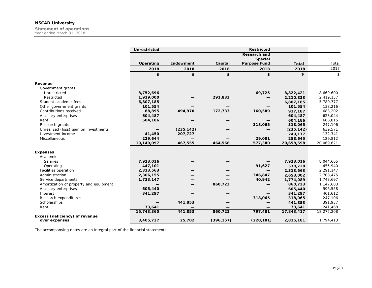**Statement of operations** Year ended March 31, 2018

|                                        | <b>Unrestricted</b> |            |            | <b>Restricted</b>   |              |            |
|----------------------------------------|---------------------|------------|------------|---------------------|--------------|------------|
|                                        |                     |            |            | <b>Research and</b> |              |            |
|                                        |                     |            |            | <b>Special</b>      |              |            |
|                                        | Operating           | Endowment  | Capital    | <b>Purpose Fund</b> | <b>Total</b> | Total      |
|                                        | 2018                | 2018       | 2018       | 2018                | 2018         | 2017       |
|                                        | \$                  | \$         | \$         | \$                  | \$           | \$         |
| Revenue                                |                     |            |            |                     |              |            |
| Government grants                      |                     |            |            |                     |              |            |
| Unrestricted                           | 8,752,696           |            |            | 69,725              | 8,822,421    | 8,669,600  |
| Restricted                             | 1,919,000           |            | 291,833    |                     | 2,210,833    | 2,419,137  |
| Student academic fees                  | 6,807,185           |            |            |                     | 6,807,185    | 5,780,777  |
| Other government grants                | 101,554             |            |            |                     | 101,554      | 138,216    |
| Contributions received                 | 88,895              | 494,970    | 172,733    | 160,589             | 917,187      | 683,202    |
| Ancillary enterprises                  | 604,487             |            |            |                     | 604,487      | 623,044    |
| Rent                                   | 604,186             |            |            |                     | 604,186      | 606,815    |
| Research grants                        |                     |            |            | 318,065             | 318,065      | 247,106    |
| Unrealized (loss) gain on investments  |                     | (235, 142) |            |                     | (235, 142)   | 639,571    |
| Investment income                      | 41,450              | 207,727    |            | $\qquad \qquad$     | 249,177      | 132,341    |
| Miscellaneous                          | 229,644             | —          |            | 29,001              | 258,645      | 129,812    |
|                                        | 19,149,097          | 467,555    | 464,566    | 577,380             | 20,658,598   | 20,069,621 |
|                                        |                     |            |            |                     |              |            |
| <b>Expenses</b>                        |                     |            |            |                     |              |            |
| Academic                               |                     |            |            |                     |              |            |
| Salaries                               | 7,923,016           |            |            |                     | 7,923,016    | 8,044,665  |
| Operating                              | 447,101             |            |            | 91,627              | 538,728      | 455,940    |
| Facilities operation                   | 2,313,563           |            |            |                     | 2,313,563    | 2,291,147  |
| Administration                         | 2,306,155           |            |            | 346,847             | 2,653,002    | 2,708,475  |
| Service departments                    | 1,733,147           |            |            | 40,942              | 1,774,089    | 1,748,697  |
| Amortization of property and equipment |                     |            | 860,723    |                     | 860,723      | 1,147,603  |
| Ancillary enterprises                  | 605,440             |            |            |                     | 605,440      | 596,558    |
| Interest                               | 341,297             |            |            |                     | 341,297      | 401,612    |
| Research expenditures                  |                     |            |            | 318,065             | 318,065      | 247,106    |
| Scholarships                           |                     | 441,853    |            |                     | 441,853      | 391,937    |
| Rent                                   | 73,641              |            |            |                     | 73,641       | 241,468    |
|                                        | 15,743,360          | 441,853    | 860,723    | 797,481             | 17,843,417   | 18,275,208 |
| Excess (deficiency) of revenue         |                     |            |            |                     |              |            |
| over expenses                          | 3,405,737           | 25,702     | (396, 157) | (220, 101)          | 2,815,181    | 1,794,413  |

The accompanying notes are an integral part of the financial statements.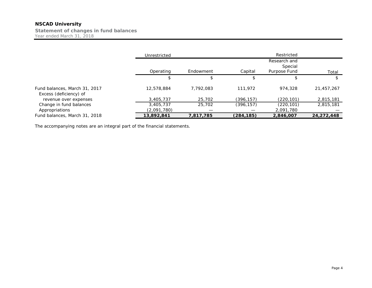# **NSCAD University**

**Statement of changes in fund balances** Year ended March 31, 2018

|                                                         | Unrestricted |           |           | Restricted   |            |  |
|---------------------------------------------------------|--------------|-----------|-----------|--------------|------------|--|
|                                                         |              |           |           | Research and |            |  |
|                                                         |              |           |           | Special      |            |  |
|                                                         | Operating    | Endowment | Capital   | Purpose Fund | Total      |  |
|                                                         | \$           |           |           |              | \$         |  |
| Fund balances, March 31, 2017<br>Excess (deficiency) of | 12,578,884   | 7,792,083 | 111,972   | 974.328      | 21,457,267 |  |
| revenue over expenses                                   | 3,405,737    | 25,702    | (396,157) | (220, 101)   | 2,815,181  |  |
| Change in fund balances                                 | 3,405,737    | 25,702    | (396,157) | (220, 101)   | 2,815,181  |  |
| Appropriations                                          | (2,091,780)  |           |           | 2,091,780    |            |  |
| Fund balances, March 31, 2018                           | 13,892,841   | 7.817.785 | (284,185) | 2,846,007    | 24,272,448 |  |

The accompanying notes are an integral part of the financial statements.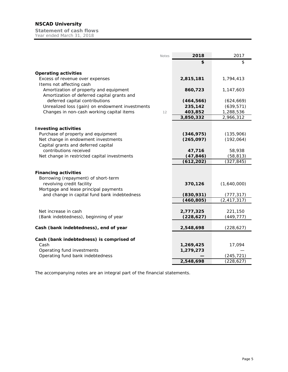# **NSCAD University**

**Statement of cash flows** Year ended March 31, 2018

|                                                                    | Notes | 2018       | 2017          |
|--------------------------------------------------------------------|-------|------------|---------------|
|                                                                    |       | \$         | \$            |
|                                                                    |       |            |               |
| <b>Operating activities</b>                                        |       |            |               |
| Excess of revenue over expenses                                    |       | 2,815,181  | 1,794,413     |
| Items not affecting cash<br>Amortization of property and equipment |       | 860,723    | 1,147,603     |
| Amortization of deferred capital grants and                        |       |            |               |
| deferred capital contributions                                     |       | (464, 566) | (624, 669)    |
| Unrealized loss (gain) on endowment investments                    |       | 235,142    | (639, 571)    |
| Changes in non-cash working capital items                          | 12    | 403,852    | 1,288,536     |
|                                                                    |       | 3,850,332  | 2,966,312     |
|                                                                    |       |            |               |
| <b>Investing activities</b>                                        |       |            |               |
| Purchase of property and equipment                                 |       | (346, 975) | (135,906)     |
| Net change in endowment investments                                |       | (265, 097) | (192, 064)    |
| Capital grants and deferred capital                                |       |            |               |
| contributions received                                             |       | 47,716     | 58,938        |
| Net change in restricted capital investments                       |       | (47, 846)  | (58, 813)     |
|                                                                    |       | (612, 202) | (327, 845)    |
| <b>Financing activities</b>                                        |       |            |               |
| Borrowing (repayment) of short-term                                |       |            |               |
| revolving credit facility                                          |       | 370,126    | (1,640,000)   |
| Mortgage and lease principal payments                              |       |            |               |
| and change in capital fund bank indebtedness                       |       | (830, 931) | (777, 317)    |
|                                                                    |       | (460, 805) | (2, 417, 317) |
|                                                                    |       |            |               |
| Net increase in cash                                               |       | 2,777,325  | 221,150       |
| (Bank indebtedness), beginning of year                             |       | (228, 627) | (449, 777)    |
|                                                                    |       |            |               |
| Cash (bank indebtedness), end of year                              |       | 2,548,698  | (228, 627)    |
| Cash (bank indebtedness) is comprised of                           |       |            |               |
| Cash                                                               |       | 1,269,425  | 17,094        |
| Operating fund investments                                         |       | 1,279,273  |               |
| Operating fund bank indebtedness                                   |       |            | (245, 721)    |
|                                                                    |       | 2,548,698  | (228, 627)    |

The accompanying notes are an integral part of the financial statements.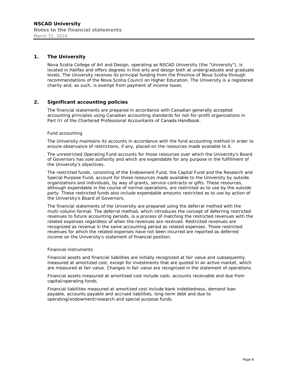# **1. The University**

Nova Scotia College of Art and Design, operating as NSCAD University (the "University"), is located in Halifax and offers degrees in fine arts and design both at undergraduate and graduate levels. The University receives its principal funding from the Province of Nova Scotia through recommendations of the Nova Scotia Council on Higher Education. The University is a registered charity and, as such, is exempt from payment of income taxes.

# **2. Significant accounting policies**

The financial statements are prepared in accordance with Canadian generally accepted accounting principles using Canadian accounting standards for not-for-profit organizations in Part III of the Chartered Professional Accountants of Canada Handbook.

#### *Fund accounting*

The University maintains its accounts in accordance with the fund accounting method in order to ensure observance of restrictions, if any, placed on the resources made available to it.

The unrestricted Operating Fund accounts for those resources over which the University's Board of Governors has sole authority and which are expendable for any purpose in the fulfillment of the University's objectives.

The restricted funds, consisting of the Endowment Fund, the Capital Fund and the Research and Special Purpose Fund, account for those resources made available to the University by outside organizations and individuals, by way of grants, service contracts or gifts. These resources, although expendable in the course of normal operations, are restricted as to use by the outside party. These restricted funds also include expendable amounts restricted as to use by action of the University's Board of Governors.

The financial statements of the University are prepared using the deferral method with the multi-column format. The deferral method, which introduces the concept of deferring restricted revenues to future accounting periods, is a process of matching the restricted revenues with the related expenses regardless of when the revenues are received. Restricted revenues are recognized as revenue in the same accounting period as related expenses. Those restricted revenues for which the related expenses have not been incurred are reported as deferred income on the University's statement of financial position.

#### *Financial instruments*

Financial assets and financial liabilities are initially recognized at fair value and subsequently measured at amortized cost, except for investments that are quoted in an active market, which are measured at fair value. Changes in fair value are recognized in the statement of operations.

Financial assets measured at amortized cost include cash, accounts receivable and due from capital/operating funds.

Financial liabilities measured at amortized cost include bank indebtedness, demand loan payable, accounts payable and accrued liabilities, long-term debt and due to operating/endowment/research and special purpose funds.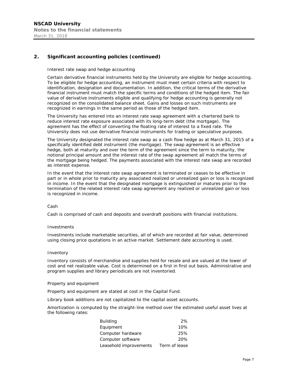# **2. Significant accounting policies (continued)**

#### *Interest rate swap and hedge accounting*

Certain derivative financial instruments held by the University are eligible for hedge accounting. To be eligible for hedge accounting, an instrument must meet certain criteria with respect to identification, designation and documentation. In addition, the critical terms of the derivative financial instrument must match the specific terms and conditions of the hedged item. The fair value of derivative instruments eligible and qualifying for hedge accounting is generally not recognized on the consolidated balance sheet. Gains and losses on such instruments are recognized in earnings in the same period as those of the hedged item.

The University has entered into an interest rate swap agreement with a chartered bank to reduce interest rate exposure associated with its long-term debt (the mortgage). The agreement has the effect of converting the floating rate of interest to a fixed rate. The University does not use derivative financial instruments for trading or speculative purposes.

The University designated the interest rate swap as a cash flow hedge as at March 31, 2015 of a specifically identified debt instrument (the mortgage). The swap agreement is an effective hedge, both at maturity and over the term of the agreement since the term to maturity, the notional principal amount and the interest rate of the swap agreement all match the terms of the mortgage being hedged. The payments associated with the interest rate swap are recorded as interest expense.

In the event that the interest rate swap agreement is terminated or ceases to be effective in part or in whole prior to maturity any associated realized or unrealized gain or loss is recognized in income. In the event that the designated mortgage is extinguished or matures prior to the termination of the related interest rate swap agreement any realized or unrealized gain or loss is recognized in income.

#### *Cash*

Cash is comprised of cash and deposits and overdraft positions with financial institutions.

#### *Investments*

Investments include marketable securities, all of which are recorded at fair value, determined using closing price quotations in an active market. Settlement date accounting is used.

#### *Inventory*

Inventory consists of merchandise and supplies held for resale and are valued at the lower of cost and net realizable value. Cost is determined on a first in first out basis. Administrative and program supplies and library periodicals are not inventoried.

#### *Property and equipment*

Property and equipment are stated at cost in the Capital Fund.

Library book additions are not capitalized to the capital asset accounts.

Amortization is computed by the straight-line method over the estimated useful asset lives at the following rates:

| Building               | 2%            |
|------------------------|---------------|
| Equipment              | 10%           |
| Computer hardware      | 25%           |
| Computer software      | 20%           |
| Leasehold improvements | Term of lease |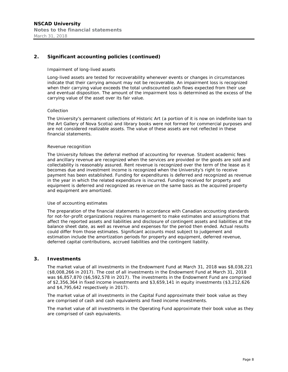# **2. Significant accounting policies (continued)**

#### *Impairment of long-lived assets*

Long-lived assets are tested for recoverability whenever events or changes in circumstances indicate that their carrying amount may not be recoverable. An impairment loss is recognized when their carrying value exceeds the total undiscounted cash flows expected from their use and eventual disposition. The amount of the impairment loss is determined as the excess of the carrying value of the asset over its fair value.

#### *Collection*

The University's permanent collections of Historic Art (a portion of it is now on indefinite loan to the Art Gallery of Nova Scotia) and library books were not formed for commercial purposes and are not considered realizable assets. The value of these assets are not reflected in these financial statements.

#### *Revenue recognition*

The University follows the deferral method of accounting for revenue. Student academic fees and ancillary revenue are recognized when the services are provided or the goods are sold and collectability is reasonably assured. Rent revenue is recognized over the term of the lease as it becomes due and investment income is recognized when the University's right to receive payment has been established. Funding for expenditures is deferred and recognized as revenue in the year in which the related expenditure is incurred. Funding received for property and equipment is deferred and recognized as revenue on the same basis as the acquired property and equipment are amortized.

#### *Use of accounting estimates*

The preparation of the financial statements in accordance with Canadian accounting standards for not-for-profit organizations requires management to make estimates and assumptions that affect the reported assets and liabilities and disclosure of contingent assets and liabilities at the balance sheet date, as well as revenue and expenses for the period then ended. Actual results could differ from those estimates. Significant accounts most subject to judgement and estimation include the amortization periods for property and equipment, deferred revenue, deferred capital contributions, accrued liabilities and the contingent liability.

#### **3. Investments**

The market value of all investments in the Endowment Fund at March 31, 2018 was \$8,038,221 (\$8,008,266 in 2017). The cost of all investments in the Endowment Fund at March 31, 2018 was \$6,857,870 (\$6,592,578 in 2017). The investments in the Endowment Fund are comprised of \$2,356,364 in fixed income investments and \$3,659,141 in equity investments (\$3,212,626 and \$4,795,642 respectively in 2017).

The market value of all investments in the Capital Fund approximate their book value as they are comprised of cash and cash equivalents and fixed income investments.

The market value of all investments in the Operating Fund approximate their book value as they are comprised of cash equivalents.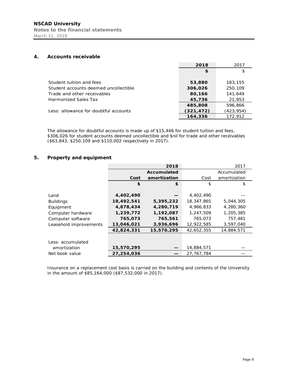# **4. Accounts receivable**

|                                       | 2018       | 2017      |
|---------------------------------------|------------|-----------|
|                                       | \$         | \$        |
|                                       |            |           |
| Student tuition and fees              | 53,880     | 183,155   |
| Student accounts deemed uncollectible | 306,026    | 250,109   |
| Trade and other receivables           | 80,166     | 141,649   |
| <b>Harmonized Sales Tax</b>           | 45,736     | 21,953    |
|                                       | 485,808    | 596,866   |
| Less: allowance for doubtful accounts | (321, 472) | (423,954) |
|                                       | 164,336    | 172,912   |

The allowance for doubtful accounts is made up of \$15,446 for student tuition and fees, \$306,026 for student accounts deemed uncollectible and \$nil for trade and other receivables (\$63,843, \$250,109 and \$110,002 respectively in 2017).

# **5. Property and equipment**

|                        |            | 2018               | 2017         |              |  |
|------------------------|------------|--------------------|--------------|--------------|--|
|                        |            | <b>Accumulated</b> |              | Accumulated  |  |
|                        | Cost       | amortization       | Cost         | amortization |  |
|                        | \$         | \$                 | \$           | \$           |  |
|                        |            |                    |              |              |  |
| Land                   | 4,402,490  |                    | 4,402,490    |              |  |
| <b>Buildings</b>       | 18,492,541 | 5,395,232          | 18,347,865   | 5,044,305    |  |
| Equipment              | 4,878,434  | 4,280,719          | 4,966,833    | 4,280,360    |  |
| Computer hardware      | 1,239,772  | 1,192,087          | 1,247,509    | 1,205,385    |  |
| Computer software      | 765,073    | 765,561            | 765,073      | 757,481      |  |
| Leasehold improvements | 13,046,021 | 3,936,696          | 12,922,585   | 3,597,040    |  |
|                        | 42,824,331 | 15,570,295         | 42,652,355   | 14,884,571   |  |
|                        |            |                    |              |              |  |
| Less: accumulated      |            |                    |              |              |  |
| amortization           | 15,570,295 |                    | 14,884,571   |              |  |
| Net book value         | 27,254,036 |                    | 27, 767, 784 |              |  |

Insurance on a replacement cost basis is carried on the building and contents of the University in the amount of \$85,164,000 (\$87,532,000 in 2017).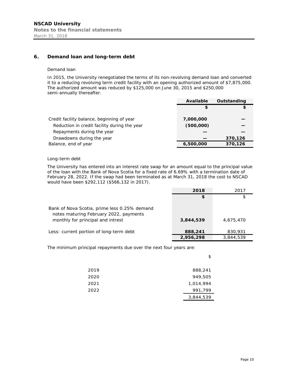# **6. Demand loan and long-term debt**

#### *Demand loan*

In 2015, the University renegotiated the terms of its non-revolving demand loan and converted it to a reducing revolving term credit facility with an opening authorized amount of \$7,875,000. The authorized amount was reduced by \$125,000 on June 30, 2015 and \$250,000 semi-annually thereafter.

|                                              | Available | Outstanding |
|----------------------------------------------|-----------|-------------|
|                                              | \$        |             |
| Credit facility balance, beginning of year   | 7,000,000 |             |
| Reduction in credit facility during the year | (500,000) |             |
| Repayments during the year                   |           |             |
| Drawdowns during the year                    |           | 370,126     |
| Balance, end of year                         | 6,500,000 | 370,126     |

#### *Long-term debt*

The University has entered into an interest rate swap for an amount equal to the principal value of the loan with the Bank of Nova Scotia for a fixed rate of 6.69% with a termination date of February 28, 2022. If the swap had been terminated as at March 31, 2018 the cost to NSCAD would have been \$292,112 (\$566,132 in 2017).

|                                                                                                                             | 2018      | 2017      |
|-----------------------------------------------------------------------------------------------------------------------------|-----------|-----------|
|                                                                                                                             | \$        | \$        |
| Bank of Nova Scotia, prime less 0.25% demand<br>notes maturing February 2022, payments<br>monthly for principal and intrest | 3,844,539 | 4,675,470 |
| Less: current portion of long-term debt                                                                                     | 888,241   | 830,931   |
|                                                                                                                             | 2,956,298 | 3,844,539 |

The minimum principal repayments due over the next four years are:

|      | ↩         |
|------|-----------|
|      |           |
| 2019 | 888,241   |
| 2020 | 949,505   |
| 2021 | 1,014,994 |
| 2022 | 991,799   |
|      | 3,844,539 |

\$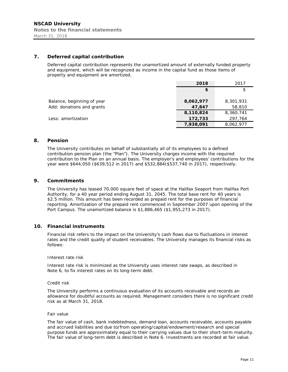# **7. Deferred capital contribution**

Deferred capital contribution represents the unamortized amount of externally funded property and equipment, which will be recognized as income in the capital fund as those items of property and equipment are amortized.

|                            | 2018      | 2017      |
|----------------------------|-----------|-----------|
|                            | \$        | \$        |
|                            |           |           |
| Balance, beginning of year | 8,062,977 | 8,301,931 |
| Add: donations and grants  | 47,847    | 58,810    |
|                            | 8,110,824 | 8,360,741 |
| Less: amortization         | 172,733   | 297,764   |
|                            | 7,938,091 | 8,062,977 |

#### **8. Pension**

The University contributes on behalf of substantially all of its employees to a defined contribution pension plan (the "Plan"). The University charges income with the required contribution to the Plan on an annual basis. The employer's and employees' contributions for the year were \$644,050 (\$639,512 in 2017) and \$532,884(\$537,740 in 2017), respectively.

# **9. Commitments**

The University has leased 70,000 square feet of space at the Halifax Seaport from Halifax Port Authority, for a 40 year period ending August 31, 2045. The total base rent for 40 years is \$2.5 million. This amount has been recorded as prepaid rent for the purposes of financial reporting. Amortization of the prepaid rent commenced in September 2007 upon opening of the Port Campus. The unamortized balance is \$1,886,465 (\$1,955,273 in 2017).

#### **10. Financial instruments**

Financial risk refers to the impact on the University's cash flows due to fluctuations in interest rates and the credit quality of student receivables. The University manages its financial risks as follows:

#### *Interest rate risk*

Interest rate risk is minimized as the University uses interest rate swaps, as described in Note 6, to fix interest rates on its long-term debt.

#### *Credit risk*

The University performs a continuous evaluation of its accounts receivable and records an allowance for doubtful accounts as required. Management considers there is no significant credit risk as at March 31, 2018.

#### *Fair value*

The fair value of cash, bank indebtedness, demand loan, accounts receivable, accounts payable and accrued liabilities and due to/from operating/capital/endowment/research and special purpose funds are approximately equal to their carrying values due to their short-term maturity. The fair value of long-term debt is described in Note 6. Investments are recorded at fair value.